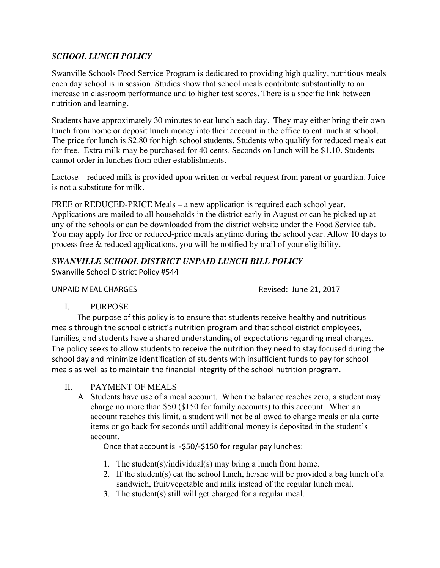### *SCHOOL LUNCH POLICY*

Swanville Schools Food Service Program is dedicated to providing high quality, nutritious meals each day school is in session. Studies show that school meals contribute substantially to an increase in classroom performance and to higher test scores. There is a specific link between nutrition and learning.

Students have approximately 30 minutes to eat lunch each day. They may either bring their own lunch from home or deposit lunch money into their account in the office to eat lunch at school. The price for lunch is \$2.80 for high school students. Students who qualify for reduced meals eat for free. Extra milk may be purchased for 40 cents. Seconds on lunch will be \$1.10. Students cannot order in lunches from other establishments.

Lactose – reduced milk is provided upon written or verbal request from parent or guardian. Juice is not a substitute for milk.

FREE or REDUCED-PRICE Meals – a new application is required each school year. Applications are mailed to all households in the district early in August or can be picked up at any of the schools or can be downloaded from the district website under the Food Service tab. You may apply for free or reduced-price meals anytime during the school year. Allow 10 days to process free & reduced applications, you will be notified by mail of your eligibility.

# *SWANVILLE SCHOOL DISTRICT UNPAID LUNCH BILL POLICY*

Swanville School District Policy #544

### UNPAID MEAL CHARGES **Revised: June 21, 2017**

I. PURPOSE

The purpose of this policy is to ensure that students receive healthy and nutritious meals through the school district's nutrition program and that school district employees, families, and students have a shared understanding of expectations regarding meal charges. The policy seeks to allow students to receive the nutrition they need to stay focused during the school day and minimize identification of students with insufficient funds to pay for school meals as well as to maintain the financial integrity of the school nutrition program.

II. PAYMENT OF MEALS

A. Students have use of a meal account. When the balance reaches zero, a student may charge no more than \$50 (\$150 for family accounts) to this account. When an account reaches this limit, a student will not be allowed to charge meals or ala carte items or go back for seconds until additional money is deposited in the student's account.

Once that account is -\$50/-\$150 for regular pay lunches:

- 1. The student(s)/individual(s) may bring a lunch from home.
- 2. If the student(s) eat the school lunch, he/she will be provided a bag lunch of a sandwich, fruit/vegetable and milk instead of the regular lunch meal.
- 3. The student(s) still will get charged for a regular meal.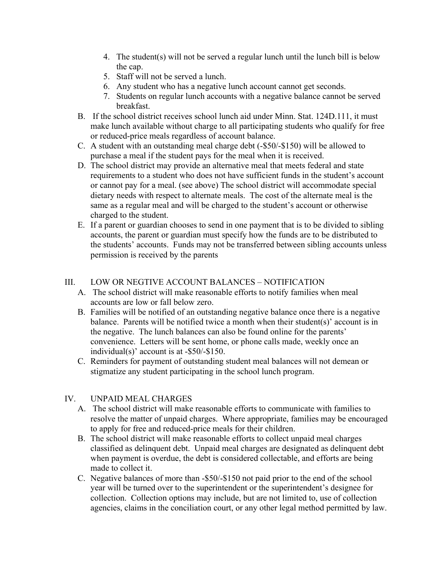- 4. The student(s) will not be served a regular lunch until the lunch bill is below the cap.
- 5. Staff will not be served a lunch.
- 6. Any student who has a negative lunch account cannot get seconds.
- 7. Students on regular lunch accounts with a negative balance cannot be served breakfast.
- B. If the school district receives school lunch aid under Minn. Stat. 124D.111, it must make lunch available without charge to all participating students who qualify for free or reduced-price meals regardless of account balance.
- C. A student with an outstanding meal charge debt (-\$50/-\$150) will be allowed to purchase a meal if the student pays for the meal when it is received.
- D. The school district may provide an alternative meal that meets federal and state requirements to a student who does not have sufficient funds in the student's account or cannot pay for a meal. (see above) The school district will accommodate special dietary needs with respect to alternate meals. The cost of the alternate meal is the same as a regular meal and will be charged to the student's account or otherwise charged to the student.
- E. If a parent or guardian chooses to send in one payment that is to be divided to sibling accounts, the parent or guardian must specify how the funds are to be distributed to the students' accounts. Funds may not be transferred between sibling accounts unless permission is received by the parents

## III. LOW OR NEGTIVE ACCOUNT BALANCES – NOTIFICATION

- A. The school district will make reasonable efforts to notify families when meal accounts are low or fall below zero.
- B. Families will be notified of an outstanding negative balance once there is a negative balance. Parents will be notified twice a month when their student(s)' account is in the negative. The lunch balances can also be found online for the parents' convenience. Letters will be sent home, or phone calls made, weekly once an individual(s)' account is at -\$50/-\$150.
- C. Reminders for payment of outstanding student meal balances will not demean or stigmatize any student participating in the school lunch program.

# IV. UNPAID MEAL CHARGES

- A. The school district will make reasonable efforts to communicate with families to resolve the matter of unpaid charges. Where appropriate, families may be encouraged to apply for free and reduced-price meals for their children.
- B. The school district will make reasonable efforts to collect unpaid meal charges classified as delinquent debt. Unpaid meal charges are designated as delinquent debt when payment is overdue, the debt is considered collectable, and efforts are being made to collect it.
- C. Negative balances of more than -\$50/-\$150 not paid prior to the end of the school year will be turned over to the superintendent or the superintendent's designee for collection. Collection options may include, but are not limited to, use of collection agencies, claims in the conciliation court, or any other legal method permitted by law.